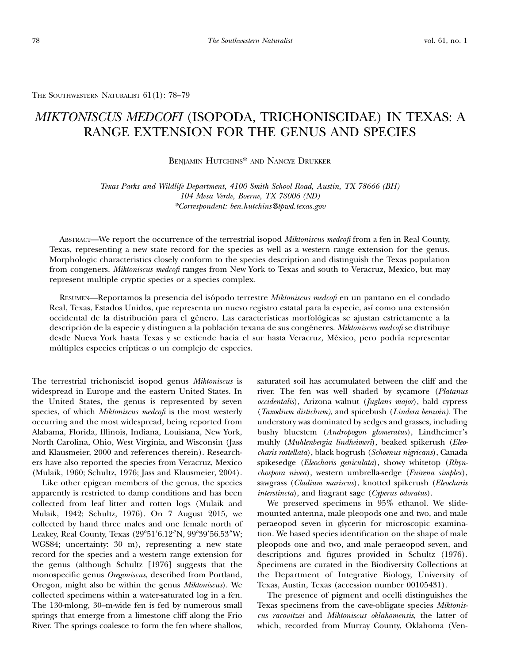THE SOUTHWESTERN NATURALIST 61(1): 78–79

# MIKTONISCUS MEDCOFI (ISOPODA, TRICHONISCIDAE) IN TEXAS: A RANGE EXTENSION FOR THE GENUS AND SPECIES

### BENJAMIN HUTCHINS\* AND NANCYE DRUKKER

Texas Parks and Wildlife Department, 4100 Smith School Road, Austin, TX 78666 (BH) 104 Mesa Verde, Boerne, TX 78006 (ND) \*Correspondent: ben.hutchins@tpwd.texas.gov

ABSTRACT—We report the occurrence of the terrestrial isopod Miktoniscus medcofi from a fen in Real County, Texas, representing a new state record for the species as well as a western range extension for the genus. Morphologic characteristics closely conform to the species description and distinguish the Texas population from congeners. Miktoniscus medcofi ranges from New York to Texas and south to Veracruz, Mexico, but may represent multiple cryptic species or a species complex.

RESUMEN—Reportamos la presencia del isópodo terrestre Miktoniscus medcofi en un pantano en el condado Real, Texas, Estados Unidos, que representa un nuevo registro estatal para la especie, así como una extensión occidental de la distribución para el género. Las características morfológicas se ajustan estrictamente a la descripción de la especie y distinguen a la población texana de sus congéneres. Miktoniscus medcofi se distribuye desde Nueva York hasta Texas y se extiende hacia el sur hasta Veracruz, México, pero podría representar múltiples especies crípticas o un complejo de especies.

The terrestrial trichoniscid isopod genus Miktoniscus is widespread in Europe and the eastern United States. In the United States, the genus is represented by seven species, of which Miktoniscus medcofi is the most westerly occurring and the most widespread, being reported from Alabama, Florida, Illinois, Indiana, Louisiana, New York, North Carolina, Ohio, West Virginia, and Wisconsin (Jass and Klausmeier, 2000 and references therein). Researchers have also reported the species from Veracruz, Mexico (Mulaik, 1960; Schultz, 1976; Jass and Klausmeier, 2004).

Like other epigean members of the genus, the species apparently is restricted to damp conditions and has been collected from leaf litter and rotten logs (Mulaik and Mulaik, 1942; Schultz, 1976). On 7 August 2015, we collected by hand three males and one female north of Leakey, Real County, Texas (29°51′6.12″N, 99°39′56.53″W; WGS84; uncertainty: 30 m), representing a new state record for the species and a western range extension for the genus (although Schultz [1976] suggests that the monospecific genus Oregoniscus, described from Portland, Oregon, might also be within the genus Miktoniscus). We collected specimens within a water-saturated log in a fen. The 130-mlong, 30–m-wide fen is fed by numerous small springs that emerge from a limestone cliff along the Frio River. The springs coalesce to form the fen where shallow,

saturated soil has accumulated between the cliff and the river. The fen was well shaded by sycamore (Platanus occidentalis), Arizona walnut (Juglans major), bald cypress (Taxodium distichum), and spicebush (Lindera benzoin). The understory was dominated by sedges and grasses, including bushy bluestem (Andropogon glomeratus), Lindheimer's muhly (Muhlenbergia lindheimeri), beaked spikerush (Eleocharis rostellata), black bogrush (Schoenus nigricans), Canada spikesedge (Eleocharis geniculata), showy whitetop (Rhynchospora nivea), western umbrella-sedge (Fuirena simplex), sawgrass (Cladium mariscus), knotted spikerush (Eleocharis interstincta), and fragrant sage (Cyperus odoratus).

We preserved specimens in 95% ethanol. We slidemounted antenna, male pleopods one and two, and male peraeopod seven in glycerin for microscopic examination. We based species identification on the shape of male pleopods one and two, and male peraeopod seven, and descriptions and figures provided in Schultz (1976). Specimens are curated in the Biodiversity Collections at the Department of Integrative Biology, University of Texas, Austin, Texas (accession number 00105431).

The presence of pigment and ocelli distinguishes the Texas specimens from the cave-obligate species Miktoniscus racovitzai and Miktoniscus oklahomensis, the latter of which, recorded from Murray County, Oklahoma (Ven